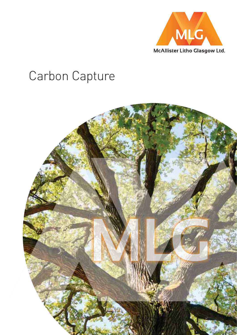

# Carbon Capture

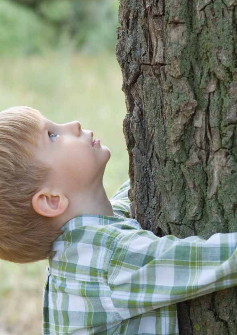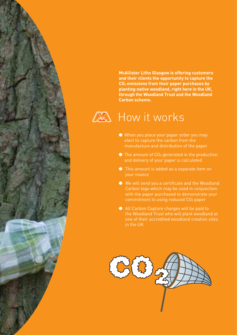**McAllister Litho Glasgow is offering customers and their clients the opportunity to capture the CO2 emissions from their paper purchases by planting native woodland, right here in the UK, through the Woodland Trust and the Woodland Carbon scheme.**

### **AMEN** How it works

- l When you place your paper order you may elect to capture the carbon from the manufacture and distribution of the paper
- The amount of CO<sub>2</sub> generated in the production
- **If** This amount is added as a separate item on your invoice
- We will send you a certificate and the Woodland Carbon logo which may be used in conjunction with the paper purchased to demonstrate your commitment to using reduced CO<sup>2</sup> paper
- All Carbon Capture charges will be paid to the Woodland Trust who will plant woodland at one of their accredited woodland creation sites in the UK

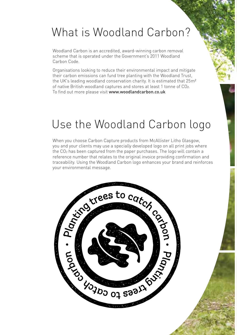# What is Woodland Carbon?

Woodland Carbon is an accredited, award-winning carbon removal scheme that is operated under the Government's 2011 Woodland Carbon Code.

Organisations looking to reduce their environmental impact and mitigate their carbon emissions can fund tree planting with the Woodland Trust, the UK's leading woodland conservation charity. It is estimated that 25m<sup>2</sup> of native British woodland captures and stores at least 1 tonne of CO2. To find out more please visit www.woodlandcarbon.co.uk

### Use the Woodland Carbon logo

When you choose Carbon Capture products from McAllister Litho Glasgow, you and your clients may use a specially developed logo on all print jobs where the CO2 has been captured from the paper purchases. The logo will contain a reference number that relates to the original invoice providing confirmation and traceability. Using the Woodland Carbon logo enhances your brand and reinforces your environmental message.

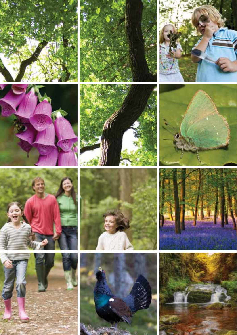





















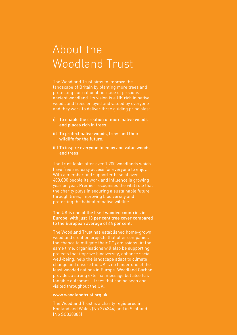## About the Woodland Trust

The Woodland Trust aims to improve the landscape of Britain by planting more trees and protecting our national heritage of precious ancient woodland. Its vision is a UK rich in native woods and trees enjoyed and valued by everyone and they work to deliver three guiding principles:

- i) To enable the creation of more native woods and places rich in trees.
- ii) To protect native woods, trees and their wildlife for the future.
- iii) To inspire everyone to enjoy and value woods and trees.

The Trust looks after over 1,200 woodlands which have free and easy access for everyone to enjoy. With a member and supporter base of over 400,000 people its work and influence is growing year on year. Premier recognises the vital role that the charity plays in securing a sustainable future through trees, improving biodiversity and protecting the habitat of native wildlife.

#### The UK is one of the least wooded countries in Europe, with just 13 per cent tree cover compared to the European average of 44 per cent.

The Woodland Trust has established home-grown woodland creation projects that offer companies same time, organisations will also be supporting projects that improve biodiversity, enhance social well-being, help the landscape adapt to climate change and ensure the UK is no longer one of the least wooded nations in Europe. Woodland Carbon provides a strong external message but also has tangible outcomes – trees that can be seen and visited throughout the UK.

#### www.woodlandtrust.org.uk

The Woodland Trust is a charity registered in England and Wales (No 294344) and in Scotland (No SC038885)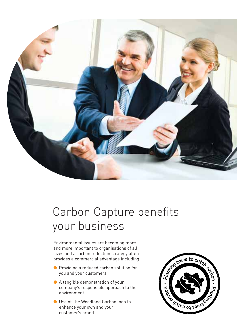

# Carbon Capture benefits your business

Environmental issues are becoming more and more important to organisations of all sizes and a carbon reduction strategy often provides a commercial advantage including:

- **•** Providing a reduced carbon solution for you and your customers
- A tangible demonstration of your company's responsible approach to the environment
- **ID** Use of The Woodland Carbon logo to enhance your own and your customer's brand